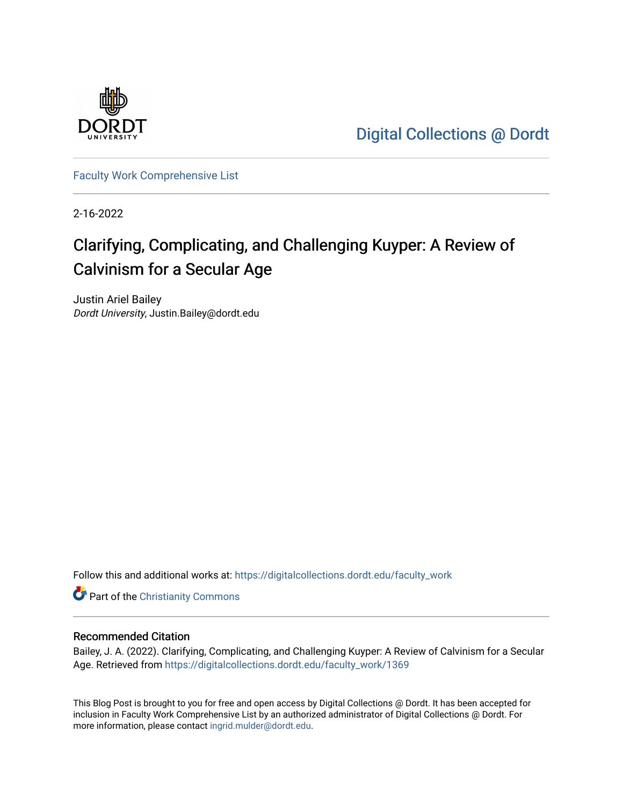

[Digital Collections @ Dordt](https://digitalcollections.dordt.edu/) 

[Faculty Work Comprehensive List](https://digitalcollections.dordt.edu/faculty_work)

2-16-2022

# Clarifying, Complicating, and Challenging Kuyper: A Review of Calvinism for a Secular Age

Justin Ariel Bailey Dordt University, Justin.Bailey@dordt.edu

Follow this and additional works at: [https://digitalcollections.dordt.edu/faculty\\_work](https://digitalcollections.dordt.edu/faculty_work?utm_source=digitalcollections.dordt.edu%2Ffaculty_work%2F1369&utm_medium=PDF&utm_campaign=PDFCoverPages) 

Part of the [Christianity Commons](http://network.bepress.com/hgg/discipline/1181?utm_source=digitalcollections.dordt.edu%2Ffaculty_work%2F1369&utm_medium=PDF&utm_campaign=PDFCoverPages) 

#### Recommended Citation

Bailey, J. A. (2022). Clarifying, Complicating, and Challenging Kuyper: A Review of Calvinism for a Secular Age. Retrieved from [https://digitalcollections.dordt.edu/faculty\\_work/1369](https://digitalcollections.dordt.edu/faculty_work/1369?utm_source=digitalcollections.dordt.edu%2Ffaculty_work%2F1369&utm_medium=PDF&utm_campaign=PDFCoverPages)

This Blog Post is brought to you for free and open access by Digital Collections @ Dordt. It has been accepted for inclusion in Faculty Work Comprehensive List by an authorized administrator of Digital Collections @ Dordt. For more information, please contact [ingrid.mulder@dordt.edu.](mailto:ingrid.mulder@dordt.edu)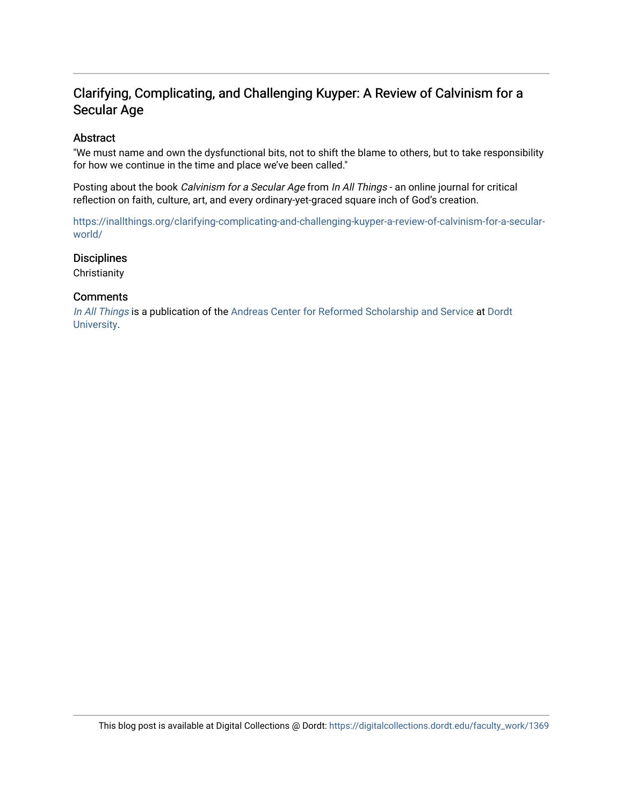## Clarifying, Complicating, and Challenging Kuyper: A Review of Calvinism for a Secular Age

#### Abstract

"We must name and own the dysfunctional bits, not to shift the blame to others, but to take responsibility for how we continue in the time and place we've been called."

Posting about the book Calvinism for a Secular Age from In All Things - an online journal for critical reflection on faith, culture, art, and every ordinary-yet-graced square inch of God's creation.

[https://inallthings.org/clarifying-complicating-and-challenging-kuyper-a-review-of-calvinism-for-a-secular](https://inallthings.org/clarifying-complicating-and-challenging-kuyper-a-review-of-calvinism-for-a-secular-world/)[world/](https://inallthings.org/clarifying-complicating-and-challenging-kuyper-a-review-of-calvinism-for-a-secular-world/) 

#### **Disciplines**

**Christianity** 

#### **Comments**

[In All Things](http://inallthings.org/) is a publication of the [Andreas Center for Reformed Scholarship and Service](http://www.dordt.edu/services_support/andreas_center/) at Dordt [University](http://www.dordt.edu/).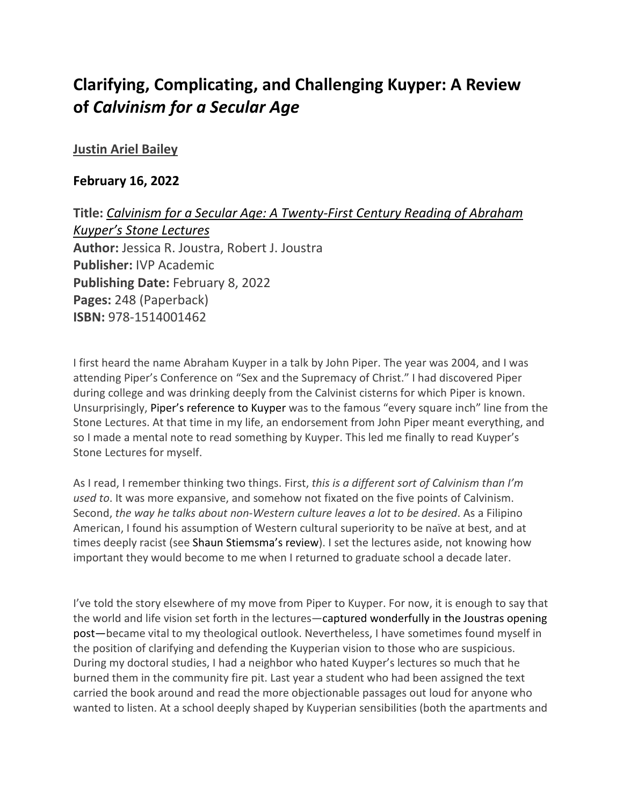## **Clarifying, Complicating, and Challenging Kuyper: A Review of** *Calvinism for a Secular Age*

### **[Justin Ariel Bailey](https://inallthings.org/author/justin-bailey/)**

### **February 16, 2022**

**Title:** *Calvinism for a Secular Age: A Twenty-First Century Reading of Abraham Kuyper's Stone Lectures* **Author:** Jessica R. Joustra, Robert J. Joustra **Publisher:** IVP Academic **Publishing Date:** February 8, 2022 **Pages:** 248 (Paperback) **ISBN:** 978-1514001462

I first heard the name Abraham Kuyper in a talk by John Piper. The year was 2004, and I was attending Piper's Conference on "Sex and the Supremacy of Christ." I had discovered Piper during college and was drinking deeply from the Calvinist cisterns for which Piper is known. Unsurprisingly, Piper's reference to Kuyper was to the famous "every square inch" line from the Stone Lectures. At that time in my life, an endorsement from John Piper meant everything, and so I made a mental note to read something by Kuyper. This led me finally to read Kuyper's Stone Lectures for myself.

As I read, I remember thinking two things. First, *this is a different sort of Calvinism than I'm used to*. It was more expansive, and somehow not fixated on the five points of Calvinism. Second, *the way he talks about non-Western culture leaves a lot to be desired*. As a Filipino American, I found his assumption of Western cultural superiority to be naïve at best, and at times deeply racist (see Shaun Stiemsma's review). I set the lectures aside, not knowing how important they would become to me when I returned to graduate school a decade later.

I've told the story elsewhere of my move from Piper to Kuyper. For now, it is enough to say that the world and life vision set forth in the lectures—captured wonderfully in the Joustras opening post—became vital to my theological outlook. Nevertheless, I have sometimes found myself in the position of clarifying and defending the Kuyperian vision to those who are suspicious. During my doctoral studies, I had a neighbor who hated Kuyper's lectures so much that he burned them in the community fire pit. Last year a student who had been assigned the text carried the book around and read the more objectionable passages out loud for anyone who wanted to listen. At a school deeply shaped by Kuyperian sensibilities (both the apartments and